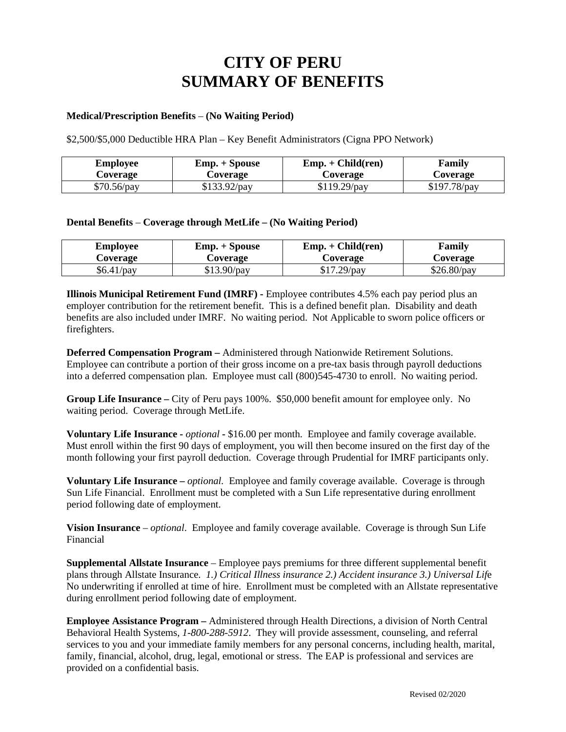## **CITY OF PERU SUMMARY OF BENEFITS**

## **Medical/Prescription Benefits** – **(No Waiting Period)**

\$2,500/\$5,000 Deductible HRA Plan – Key Benefit Administrators (Cigna PPO Network)

| Employee      | $Emp. + Spouse$ | $Emp. + Child (ren)$ | Family         |
|---------------|-----------------|----------------------|----------------|
| Coverage      | Coverage        | Coverage             | Coverage       |
| $$70.56$ /pay | $$133.92$ /pay  | $$119.29$ /pay       | $$197.78$ /pay |

## **Dental Benefits** – **Coverage through MetLife – (No Waiting Period)**

| Employee     | Emp. + Spouse | $Emp. + Child (ren)$ | Family        |
|--------------|---------------|----------------------|---------------|
| Coverage     | Coverage      | Coverage             | Coverage      |
| $$6.41$ /pay | $$13.90$ /pay | $$17.29$ /pay        | $$26.80$ /pay |

**Illinois Municipal Retirement Fund (IMRF) -** Employee contributes 4.5% each pay period plus an employer contribution for the retirement benefit. This is a defined benefit plan. Disability and death benefits are also included under IMRF. No waiting period. Not Applicable to sworn police officers or firefighters.

**Deferred Compensation Program –** Administered through Nationwide Retirement Solutions. Employee can contribute a portion of their gross income on a pre-tax basis through payroll deductions into a deferred compensation plan. Employee must call (800)545-4730 to enroll. No waiting period.

**Group Life Insurance –** City of Peru pays 100%. \$50,000 benefit amount for employee only. No waiting period. Coverage through MetLife.

**Voluntary Life Insurance -** *optional* **-** \$16.00 per month. Employee and family coverage available. Must enroll within the first 90 days of employment, you will then become insured on the first day of the month following your first payroll deduction. Coverage through Prudential for IMRF participants only.

**Voluntary Life Insurance –** *optional.* Employee and family coverage available. Coverage is through Sun Life Financial. Enrollment must be completed with a Sun Life representative during enrollment period following date of employment.

**Vision Insurance** – *optional*. Employee and family coverage available. Coverage is through Sun Life Financial

**Supplemental Allstate Insurance** – Employee pays premiums for three different supplemental benefit plans through Allstate Insurance*. 1.) Critical Illness insurance 2.) Accident insurance 3.) Universal Lif*e No underwriting if enrolled at time of hire. Enrollment must be completed with an Allstate representative during enrollment period following date of employment.

**Employee Assistance Program –** Administered through Health Directions, a division of North Central Behavioral Health Systems, *1-800-288-5912*. They will provide assessment, counseling, and referral services to you and your immediate family members for any personal concerns, including health, marital, family, financial, alcohol, drug, legal, emotional or stress. The EAP is professional and services are provided on a confidential basis.